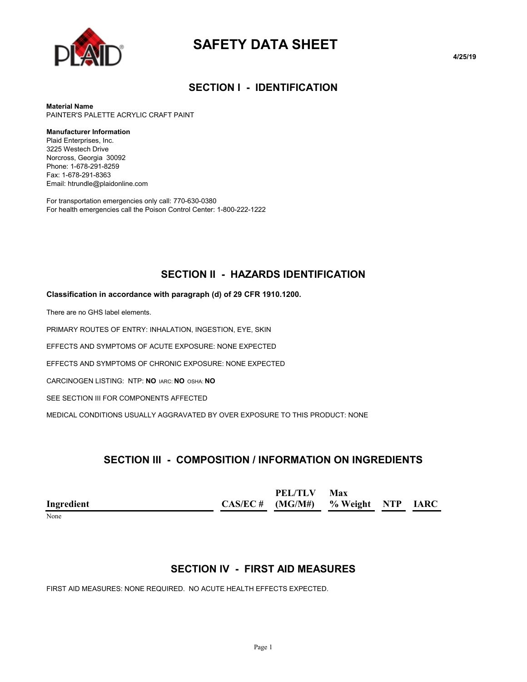

# **SAFETY DATA SHEET**

#### **4/25/19**

### **SECTION I - IDENTIFICATION**

**Material Name** PAINTER'S PALETTE ACRYLIC CRAFT PAINT

#### **Manufacturer Information**

Plaid Enterprises, Inc. 3225 Westech Drive Norcross, Georgia 30092 Phone: 1-678-291-8259 Fax: 1-678-291-8363 Email: htrundle@plaidonline.com

For transportation emergencies only call: 770-630-0380 For health emergencies call the Poison Control Center: 1-800-222-1222

# **SECTION II - HAZARDS IDENTIFICATION**

#### **Classification in accordance with paragraph (d) of 29 CFR 1910.1200.**

There are no GHS label elements.

PRIMARY ROUTES OF ENTRY: INHALATION, INGESTION, EYE, SKIN

EFFECTS AND SYMPTOMS OF ACUTE EXPOSURE: NONE EXPECTED

EFFECTS AND SYMPTOMS OF CHRONIC EXPOSURE: NONE EXPECTED

CARCINOGEN LISTING: NTP: **NO** IARC: **NO** OSHA: **NO**

SEE SECTION III FOR COMPONENTS AFFECTED

MEDICAL CONDITIONS USUALLY AGGRAVATED BY OVER EXPOSURE TO THIS PRODUCT: NONE

# **SECTION III - COMPOSITION / INFORMATION ON INGREDIENTS**

|            | <b>PEL/TLV</b>                    | Max |             |
|------------|-----------------------------------|-----|-------------|
| Ingredient | $CAS/EC \# (MG/M\#)$ % Weight NTP |     | <b>IARC</b> |

None

# **SECTION IV - FIRST AID MEASURES**

FIRST AID MEASURES: NONE REQUIRED. NO ACUTE HEALTH EFFECTS EXPECTED.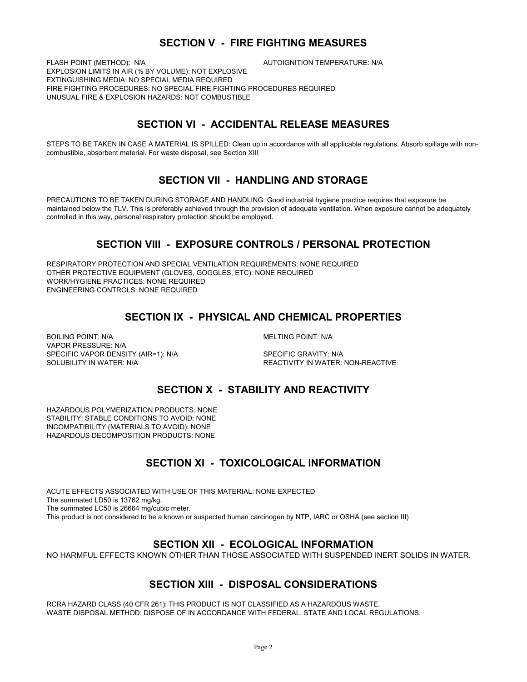### **SECTION V - FIRE FIGHTING MEASURES**

FLASH POINT (METHOD): N/A AUTOIGNITION TEMPERATURE: N/A EXPLOSION LIMITS IN AIR (% BY VOLUME): NOT EXPLOSIVE EXTINGUISHING MEDIA: NO SPECIAL MEDIA REQUIRED FIRE FIGHTING PROCEDURES: NO SPECIAL FIRE FIGHTING PROCEDURES REQUIRED UNUSUAL FIRE & EXPLOSION HAZARDS: NOT COMBUSTIBLE

# **SECTION VI - ACCIDENTAL RELEASE MEASURES**

STEPS TO BE TAKEN IN CASE A MATERIAL IS SPILLED: Clean up in accordance with all applicable regulations. Absorb spillage with noncombustible, absorbent material. For waste disposal, see Section XIII

# **SECTION VII - HANDLING AND STORAGE**

PRECAUTIONS TO BE TAKEN DURING STORAGE AND HANDLING: Good industrial hygiene practice requires that exposure be maintained below the TLV. This is preferably achieved through the provision of adequate ventilation. When exposure cannot be adequately controlled in this way, personal respiratory protection should be employed.

# **SECTION VIII - EXPOSURE CONTROLS / PERSONAL PROTECTION**

RESPIRATORY PROTECTION AND SPECIAL VENTILATION REQUIREMENTS: NONE REQUIRED OTHER PROTECTIVE EQUIPMENT (GLOVES, GOGGLES, ETC): NONE REQUIRED WORK/HYGIENE PRACTICES: NONE REQUIRED ENGINEERING CONTROLS: NONE REQUIRED

# **SECTION IX - PHYSICAL AND CHEMICAL PROPERTIES**

BOILING POINT: N/A **MELTING POINT: N/A** VAPOR PRESSURE: N/A SPECIFIC VAPOR DENSITY (AIR=1): N/A SPECIFIC GRAVITY: N/A

SOLUBILITY IN WATER: N/A **REACTIVITY IN WATER: NON-REACTIVE** 

# **SECTION X - STABILITY AND REACTIVITY**

HAZARDOUS POLYMERIZATION PRODUCTS: NONE STABILITY: STABLE CONDITIONS TO AVOID: NONE INCOMPATIBILITY (MATERIALS TO AVOID): NONE HAZARDOUS DECOMPOSITION PRODUCTS: NONE

# **SECTION XI - TOXICOLOGICAL INFORMATION**

ACUTE EFFECTS ASSOCIATED WITH USE OF THIS MATERIAL: NONE EXPECTED The summated LD50 is 13762 mg/kg. The summated LC50 is 26664 mg/cubic meter. This product is not considered to be a known or suspected human carcinogen by NTP, IARC or OSHA (see section III)

#### **SECTION XII - ECOLOGICAL INFORMATION**

NO HARMFUL EFFECTS KNOWN OTHER THAN THOSE ASSOCIATED WITH SUSPENDED INERT SOLIDS IN WATER.

# **SECTION XIII - DISPOSAL CONSIDERATIONS**

RCRA HAZARD CLASS (40 CFR 261): THIS PRODUCT IS NOT CLASSIFIED AS A HAZARDOUS WASTE. WASTE DISPOSAL METHOD: DISPOSE OF IN ACCORDANCE WITH FEDERAL, STATE AND LOCAL REGULATIONS.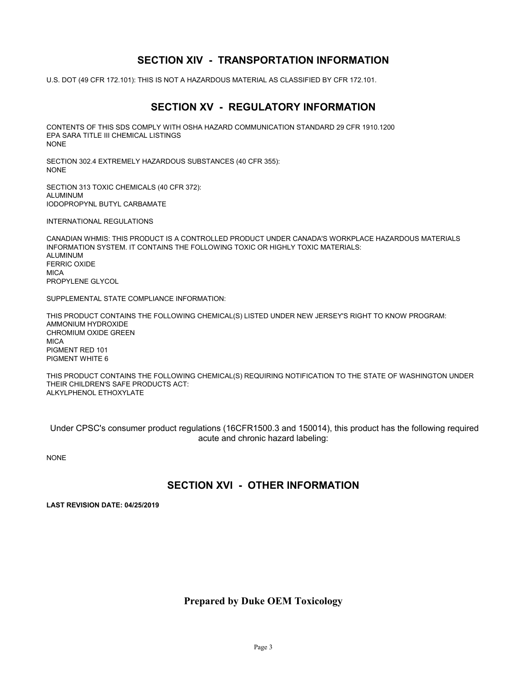# **SECTION XIV - TRANSPORTATION INFORMATION**

U.S. DOT (49 CFR 172.101): THIS IS NOT A HAZARDOUS MATERIAL AS CLASSIFIED BY CFR 172.101.

# **SECTION XV - REGULATORY INFORMATION**

CONTENTS OF THIS SDS COMPLY WITH OSHA HAZARD COMMUNICATION STANDARD 29 CFR 1910.1200 EPA SARA TITLE III CHEMICAL LISTINGS NONE

SECTION 302.4 EXTREMELY HAZARDOUS SUBSTANCES (40 CFR 355): NONE

SECTION 313 TOXIC CHEMICALS (40 CFR 372): ALUMINUM IODOPROPYNL BUTYL CARBAMATE

INTERNATIONAL REGULATIONS

CANADIAN WHMIS: THIS PRODUCT IS A CONTROLLED PRODUCT UNDER CANADA'S WORKPLACE HAZARDOUS MATERIALS INFORMATION SYSTEM. IT CONTAINS THE FOLLOWING TOXIC OR HIGHLY TOXIC MATERIALS: ALUMINUM FERRIC OXIDE **MICA** PROPYLENE GLYCOL

SUPPLEMENTAL STATE COMPLIANCE INFORMATION:

THIS PRODUCT CONTAINS THE FOLLOWING CHEMICAL(S) LISTED UNDER NEW JERSEY'S RIGHT TO KNOW PROGRAM: AMMONIUM HYDROXIDE CHROMIUM OXIDE GREEN **MICA** PIGMENT RED 101 PIGMENT WHITE 6

THIS PRODUCT CONTAINS THE FOLLOWING CHEMICAL(S) REQUIRING NOTIFICATION TO THE STATE OF WASHINGTON UNDER THEIR CHILDREN'S SAFE PRODUCTS ACT: ALKYLPHENOL ETHOXYLATE

 Under CPSC's consumer product regulations (16CFR1500.3 and 150014), this product has the following required acute and chronic hazard labeling:

NONE

# **SECTION XVI - OTHER INFORMATION**

**LAST REVISION DATE: 04/25/2019**

#### **Prepared by Duke OEM Toxicology**